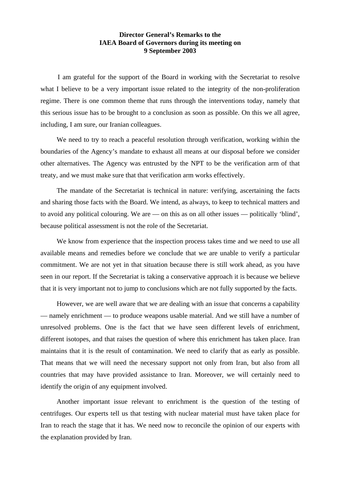## **Director General's Remarks to the IAEA Board of Governors during its meeting on 9 September 2003**

 I am grateful for the support of the Board in working with the Secretariat to resolve what I believe to be a very important issue related to the integrity of the non-proliferation regime. There is one common theme that runs through the interventions today, namely that this serious issue has to be brought to a conclusion as soon as possible. On this we all agree, including, I am sure, our Iranian colleagues.

 We need to try to reach a peaceful resolution through verification, working within the boundaries of the Agency's mandate to exhaust all means at our disposal before we consider other alternatives. The Agency was entrusted by the NPT to be the verification arm of that treaty, and we must make sure that that verification arm works effectively.

 The mandate of the Secretariat is technical in nature: verifying, ascertaining the facts and sharing those facts with the Board. We intend, as always, to keep to technical matters and to avoid any political colouring. We are — on this as on all other issues — politically 'blind', because political assessment is not the role of the Secretariat.

We know from experience that the inspection process takes time and we need to use all available means and remedies before we conclude that we are unable to verify a particular commitment. We are not yet in that situation because there is still work ahead, as you have seen in our report. If the Secretariat is taking a conservative approach it is because we believe that it is very important not to jump to conclusions which are not fully supported by the facts.

 However, we are well aware that we are dealing with an issue that concerns a capability — namely enrichment — to produce weapons usable material. And we still have a number of unresolved problems. One is the fact that we have seen different levels of enrichment, different isotopes, and that raises the question of where this enrichment has taken place. Iran maintains that it is the result of contamination. We need to clarify that as early as possible. That means that we will need the necessary support not only from Iran, but also from all countries that may have provided assistance to Iran. Moreover, we will certainly need to identify the origin of any equipment involved.

 Another important issue relevant to enrichment is the question of the testing of centrifuges. Our experts tell us that testing with nuclear material must have taken place for Iran to reach the stage that it has. We need now to reconcile the opinion of our experts with the explanation provided by Iran.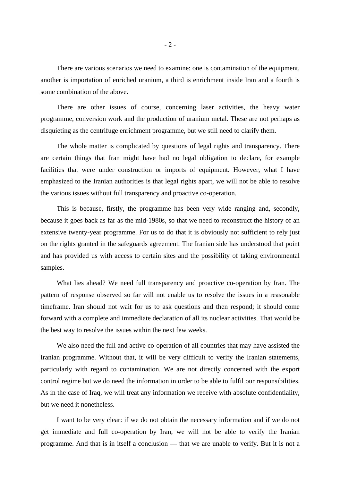There are various scenarios we need to examine: one is contamination of the equipment, another is importation of enriched uranium, a third is enrichment inside Iran and a fourth is some combination of the above.

 There are other issues of course, concerning laser activities, the heavy water programme, conversion work and the production of uranium metal. These are not perhaps as disquieting as the centrifuge enrichment programme, but we still need to clarify them.

 The whole matter is complicated by questions of legal rights and transparency. There are certain things that Iran might have had no legal obligation to declare, for example facilities that were under construction or imports of equipment. However, what I have emphasized to the Iranian authorities is that legal rights apart, we will not be able to resolve the various issues without full transparency and proactive co-operation.

This is because, firstly, the programme has been very wide ranging and, secondly, because it goes back as far as the mid-1980s, so that we need to reconstruct the history of an extensive twenty-year programme. For us to do that it is obviously not sufficient to rely just on the rights granted in the safeguards agreement. The Iranian side has understood that point and has provided us with access to certain sites and the possibility of taking environmental samples.

 What lies ahead? We need full transparency and proactive co-operation by Iran. The pattern of response observed so far will not enable us to resolve the issues in a reasonable timeframe. Iran should not wait for us to ask questions and then respond; it should come forward with a complete and immediate declaration of all its nuclear activities. That would be the best way to resolve the issues within the next few weeks.

 We also need the full and active co-operation of all countries that may have assisted the Iranian programme. Without that, it will be very difficult to verify the Iranian statements, particularly with regard to contamination. We are not directly concerned with the export control regime but we do need the information in order to be able to fulfil our responsibilities. As in the case of Iraq, we will treat any information we receive with absolute confidentiality, but we need it nonetheless.

 I want to be very clear: if we do not obtain the necessary information and if we do not get immediate and full co-operation by Iran, we will not be able to verify the Iranian programme. And that is in itself a conclusion — that we are unable to verify. But it is not a